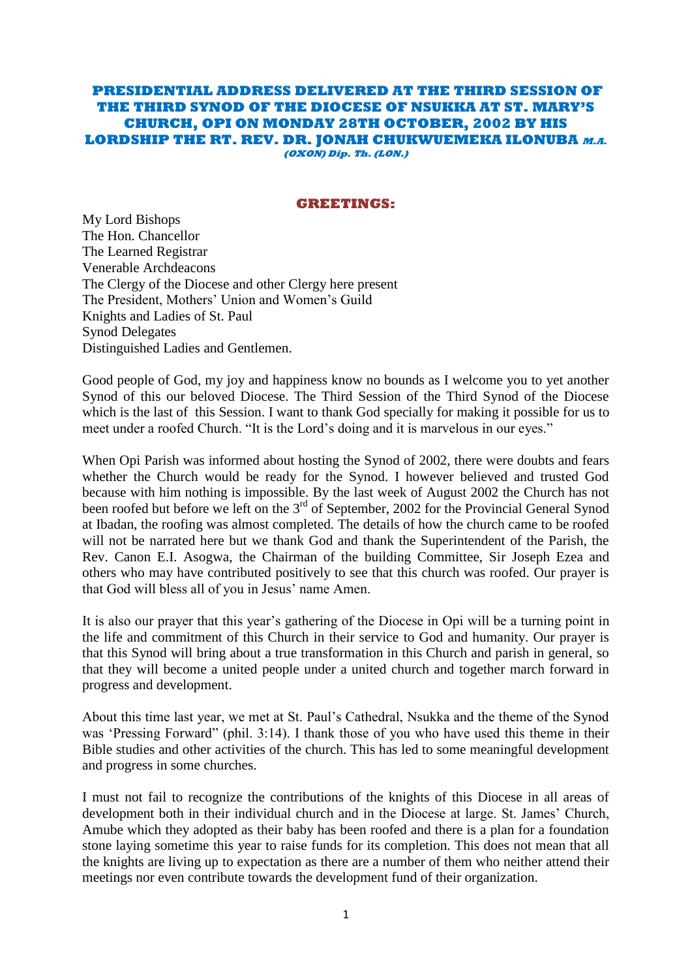#### **PRESIDENTIAL ADDRESS DELIVERED AT THE THIRD SESSION OF THE THIRD SYNOD OF THE DIOCESE OF NSUKKA AT ST. MARY'S CHURCH, OPI ON MONDAY 28TH OCTOBER, 2002 BY HIS LORDSHIP THE RT. REV. DR. JONAH CHUKWUEMEKA ILONUBA M.A. (OXON) Dip. Th. (LON.)**

#### **GREETINGS:**

My Lord Bishops The Hon. Chancellor The Learned Registrar Venerable Archdeacons The Clergy of the Diocese and other Clergy here present The President, Mothers' Union and Women's Guild Knights and Ladies of St. Paul Synod Delegates Distinguished Ladies and Gentlemen.

Good people of God, my joy and happiness know no bounds as I welcome you to yet another Synod of this our beloved Diocese. The Third Session of the Third Synod of the Diocese which is the last of this Session. I want to thank God specially for making it possible for us to meet under a roofed Church. "It is the Lord"s doing and it is marvelous in our eyes."

When Opi Parish was informed about hosting the Synod of 2002, there were doubts and fears whether the Church would be ready for the Synod. I however believed and trusted God because with him nothing is impossible. By the last week of August 2002 the Church has not been roofed but before we left on the 3<sup>rd</sup> of September, 2002 for the Provincial General Synod at Ibadan, the roofing was almost completed. The details of how the church came to be roofed will not be narrated here but we thank God and thank the Superintendent of the Parish, the Rev. Canon E.I. Asogwa, the Chairman of the building Committee, Sir Joseph Ezea and others who may have contributed positively to see that this church was roofed. Our prayer is that God will bless all of you in Jesus' name Amen.

It is also our prayer that this year"s gathering of the Diocese in Opi will be a turning point in the life and commitment of this Church in their service to God and humanity. Our prayer is that this Synod will bring about a true transformation in this Church and parish in general, so that they will become a united people under a united church and together march forward in progress and development.

About this time last year, we met at St. Paul"s Cathedral, Nsukka and the theme of the Synod was "Pressing Forward" (phil. 3:14). I thank those of you who have used this theme in their Bible studies and other activities of the church. This has led to some meaningful development and progress in some churches.

I must not fail to recognize the contributions of the knights of this Diocese in all areas of development both in their individual church and in the Diocese at large. St. James" Church, Amube which they adopted as their baby has been roofed and there is a plan for a foundation stone laying sometime this year to raise funds for its completion. This does not mean that all the knights are living up to expectation as there are a number of them who neither attend their meetings nor even contribute towards the development fund of their organization.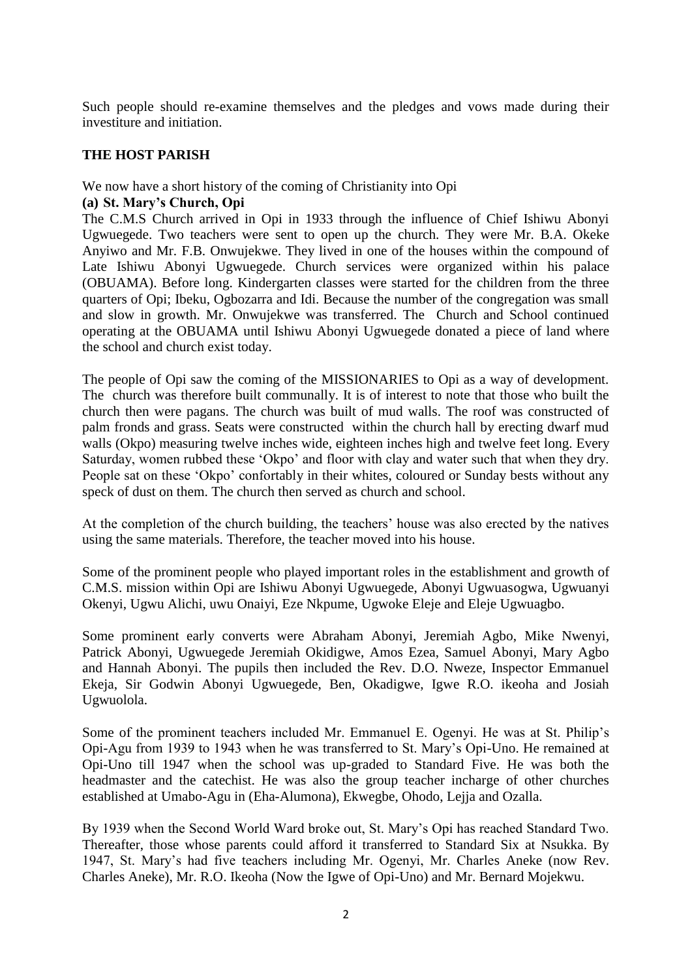Such people should re-examine themselves and the pledges and vows made during their investiture and initiation.

## **THE HOST PARISH**

We now have a short history of the coming of Christianity into Opi

## **(a) St. Mary's Church, Opi**

The C.M.S Church arrived in Opi in 1933 through the influence of Chief Ishiwu Abonyi Ugwuegede. Two teachers were sent to open up the church. They were Mr. B.A. Okeke Anyiwo and Mr. F.B. Onwujekwe. They lived in one of the houses within the compound of Late Ishiwu Abonyi Ugwuegede. Church services were organized within his palace (OBUAMA). Before long. Kindergarten classes were started for the children from the three quarters of Opi; Ibeku, Ogbozarra and Idi. Because the number of the congregation was small and slow in growth. Mr. Onwujekwe was transferred. The Church and School continued operating at the OBUAMA until Ishiwu Abonyi Ugwuegede donated a piece of land where the school and church exist today.

The people of Opi saw the coming of the MISSIONARIES to Opi as a way of development. The church was therefore built communally. It is of interest to note that those who built the church then were pagans. The church was built of mud walls. The roof was constructed of palm fronds and grass. Seats were constructed within the church hall by erecting dwarf mud walls (Okpo) measuring twelve inches wide, eighteen inches high and twelve feet long. Every Saturday, women rubbed these "Okpo" and floor with clay and water such that when they dry. People sat on these 'Okpo' confortably in their whites, coloured or Sunday bests without any speck of dust on them. The church then served as church and school.

At the completion of the church building, the teachers' house was also erected by the natives using the same materials. Therefore, the teacher moved into his house.

Some of the prominent people who played important roles in the establishment and growth of C.M.S. mission within Opi are Ishiwu Abonyi Ugwuegede, Abonyi Ugwuasogwa, Ugwuanyi Okenyi, Ugwu Alichi, uwu Onaiyi, Eze Nkpume, Ugwoke Eleje and Eleje Ugwuagbo.

Some prominent early converts were Abraham Abonyi, Jeremiah Agbo, Mike Nwenyi, Patrick Abonyi, Ugwuegede Jeremiah Okidigwe, Amos Ezea, Samuel Abonyi, Mary Agbo and Hannah Abonyi. The pupils then included the Rev. D.O. Nweze, Inspector Emmanuel Ekeja, Sir Godwin Abonyi Ugwuegede, Ben, Okadigwe, Igwe R.O. ikeoha and Josiah Ugwuolola.

Some of the prominent teachers included Mr. Emmanuel E. Ogenyi. He was at St. Philip"s Opi-Agu from 1939 to 1943 when he was transferred to St. Mary"s Opi-Uno. He remained at Opi-Uno till 1947 when the school was up-graded to Standard Five. He was both the headmaster and the catechist. He was also the group teacher incharge of other churches established at Umabo-Agu in (Eha-Alumona), Ekwegbe, Ohodo, Lejja and Ozalla.

By 1939 when the Second World Ward broke out, St. Mary"s Opi has reached Standard Two. Thereafter, those whose parents could afford it transferred to Standard Six at Nsukka. By 1947, St. Mary"s had five teachers including Mr. Ogenyi, Mr. Charles Aneke (now Rev. Charles Aneke), Mr. R.O. Ikeoha (Now the Igwe of Opi-Uno) and Mr. Bernard Mojekwu.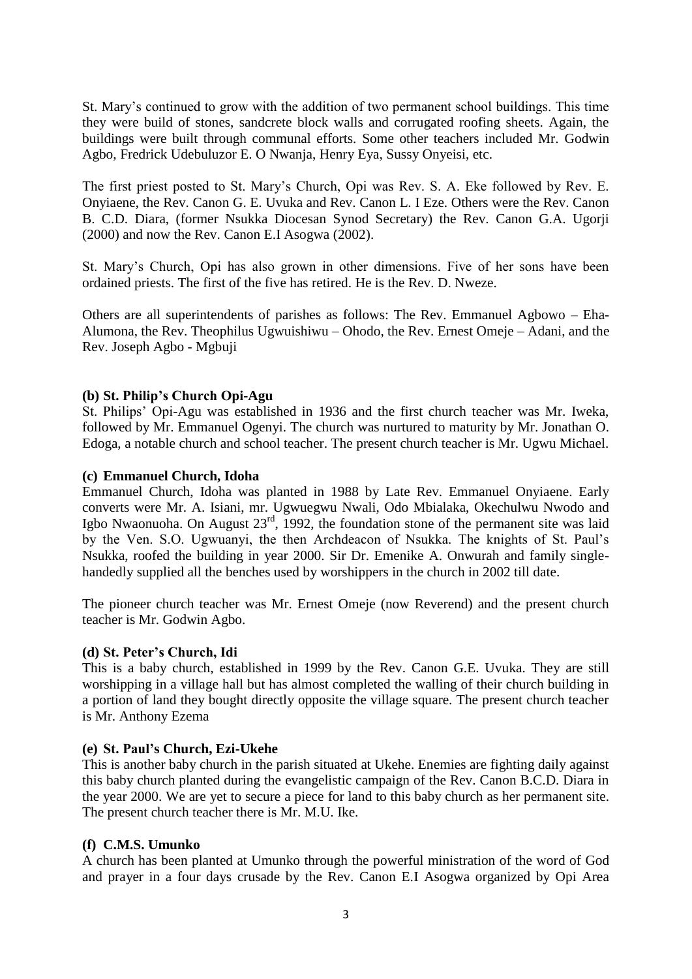St. Mary"s continued to grow with the addition of two permanent school buildings. This time they were build of stones, sandcrete block walls and corrugated roofing sheets. Again, the buildings were built through communal efforts. Some other teachers included Mr. Godwin Agbo, Fredrick Udebuluzor E. O Nwanja, Henry Eya, Sussy Onyeisi, etc.

The first priest posted to St. Mary"s Church, Opi was Rev. S. A. Eke followed by Rev. E. Onyiaene, the Rev. Canon G. E. Uvuka and Rev. Canon L. I Eze. Others were the Rev. Canon B. C.D. Diara, (former Nsukka Diocesan Synod Secretary) the Rev. Canon G.A. Ugorji (2000) and now the Rev. Canon E.I Asogwa (2002).

St. Mary"s Church, Opi has also grown in other dimensions. Five of her sons have been ordained priests. The first of the five has retired. He is the Rev. D. Nweze.

Others are all superintendents of parishes as follows: The Rev. Emmanuel Agbowo – Eha-Alumona, the Rev. Theophilus Ugwuishiwu – Ohodo, the Rev. Ernest Omeje – Adani, and the Rev. Joseph Agbo - Mgbuji

## **(b) St. Philip's Church Opi-Agu**

St. Philips' Opi-Agu was established in 1936 and the first church teacher was Mr. Iweka, followed by Mr. Emmanuel Ogenyi. The church was nurtured to maturity by Mr. Jonathan O. Edoga, a notable church and school teacher. The present church teacher is Mr. Ugwu Michael.

## **(c) Emmanuel Church, Idoha**

Emmanuel Church, Idoha was planted in 1988 by Late Rev. Emmanuel Onyiaene. Early converts were Mr. A. Isiani, mr. Ugwuegwu Nwali, Odo Mbialaka, Okechulwu Nwodo and Igbo Nwaonuoha. On August  $23^{rd}$ , 1992, the foundation stone of the permanent site was laid by the Ven. S.O. Ugwuanyi, the then Archdeacon of Nsukka. The knights of St. Paul"s Nsukka, roofed the building in year 2000. Sir Dr. Emenike A. Onwurah and family singlehandedly supplied all the benches used by worshippers in the church in 2002 till date.

The pioneer church teacher was Mr. Ernest Omeje (now Reverend) and the present church teacher is Mr. Godwin Agbo.

## **(d) St. Peter's Church, Idi**

This is a baby church, established in 1999 by the Rev. Canon G.E. Uvuka. They are still worshipping in a village hall but has almost completed the walling of their church building in a portion of land they bought directly opposite the village square. The present church teacher is Mr. Anthony Ezema

## **(e) St. Paul's Church, Ezi-Ukehe**

This is another baby church in the parish situated at Ukehe. Enemies are fighting daily against this baby church planted during the evangelistic campaign of the Rev. Canon B.C.D. Diara in the year 2000. We are yet to secure a piece for land to this baby church as her permanent site. The present church teacher there is Mr. M.U. Ike.

## **(f) C.M.S. Umunko**

A church has been planted at Umunko through the powerful ministration of the word of God and prayer in a four days crusade by the Rev. Canon E.I Asogwa organized by Opi Area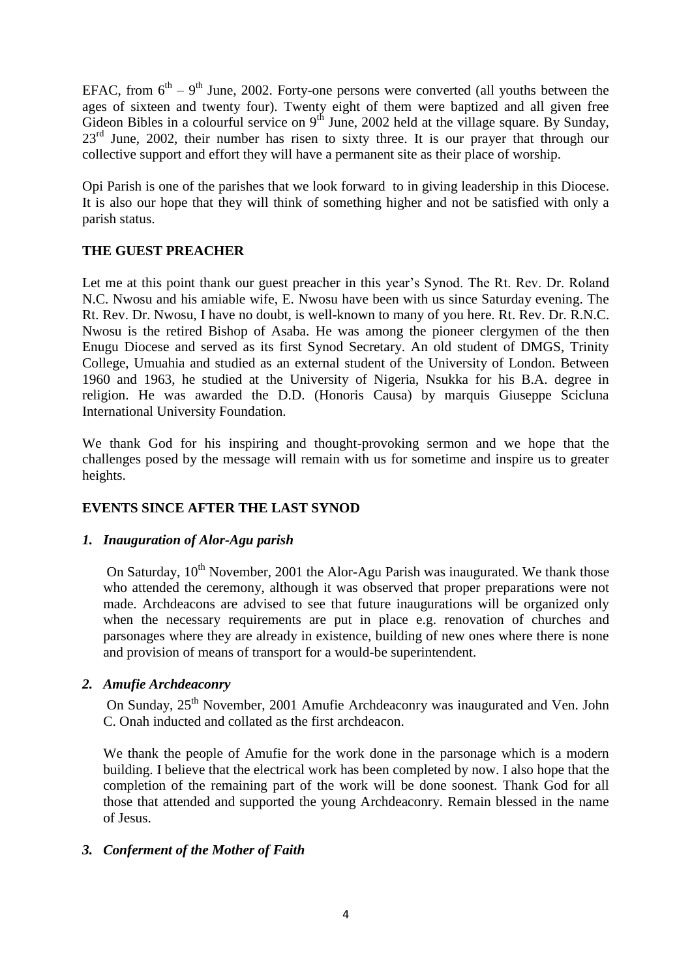EFAC, from  $6<sup>th</sup> - 9<sup>th</sup>$  June, 2002. Forty-one persons were converted (all youths between the ages of sixteen and twenty four). Twenty eight of them were baptized and all given free Gideon Bibles in a colourful service on  $9<sup>th</sup>$  June, 2002 held at the village square. By Sunday,  $23<sup>rd</sup>$  June, 2002, their number has risen to sixty three. It is our prayer that through our collective support and effort they will have a permanent site as their place of worship.

Opi Parish is one of the parishes that we look forward to in giving leadership in this Diocese. It is also our hope that they will think of something higher and not be satisfied with only a parish status.

## **THE GUEST PREACHER**

Let me at this point thank our guest preacher in this year's Synod. The Rt. Rev. Dr. Roland N.C. Nwosu and his amiable wife, E. Nwosu have been with us since Saturday evening. The Rt. Rev. Dr. Nwosu, I have no doubt, is well-known to many of you here. Rt. Rev. Dr. R.N.C. Nwosu is the retired Bishop of Asaba. He was among the pioneer clergymen of the then Enugu Diocese and served as its first Synod Secretary. An old student of DMGS, Trinity College, Umuahia and studied as an external student of the University of London. Between 1960 and 1963, he studied at the University of Nigeria, Nsukka for his B.A. degree in religion. He was awarded the D.D. (Honoris Causa) by marquis Giuseppe Scicluna International University Foundation.

We thank God for his inspiring and thought-provoking sermon and we hope that the challenges posed by the message will remain with us for sometime and inspire us to greater heights.

## **EVENTS SINCE AFTER THE LAST SYNOD**

## *1. Inauguration of Alor-Agu parish*

On Saturday,  $10^{th}$  November, 2001 the Alor-Agu Parish was inaugurated. We thank those who attended the ceremony, although it was observed that proper preparations were not made. Archdeacons are advised to see that future inaugurations will be organized only when the necessary requirements are put in place e.g. renovation of churches and parsonages where they are already in existence, building of new ones where there is none and provision of means of transport for a would-be superintendent.

## *2. Amufie Archdeaconry*

On Sunday, 25<sup>th</sup> November, 2001 Amufie Archdeaconry was inaugurated and Ven. John C. Onah inducted and collated as the first archdeacon.

We thank the people of Amufie for the work done in the parsonage which is a modern building. I believe that the electrical work has been completed by now. I also hope that the completion of the remaining part of the work will be done soonest. Thank God for all those that attended and supported the young Archdeaconry. Remain blessed in the name of Jesus.

## *3. Conferment of the Mother of Faith*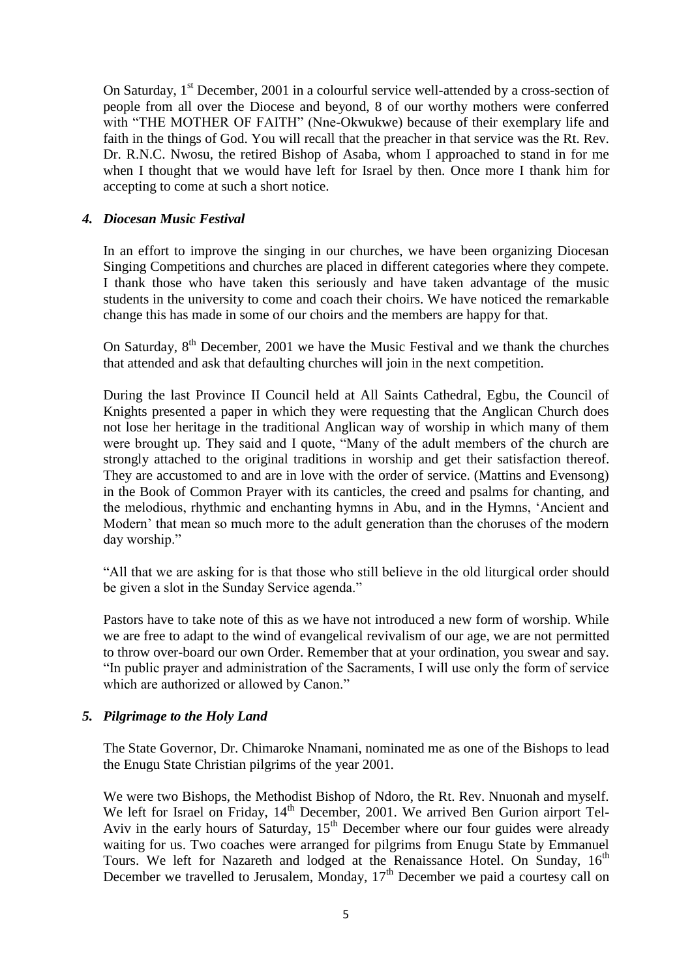On Saturday, 1<sup>st</sup> December, 2001 in a colourful service well-attended by a cross-section of people from all over the Diocese and beyond, 8 of our worthy mothers were conferred with "THE MOTHER OF FAITH" (Nne-Okwukwe) because of their exemplary life and faith in the things of God. You will recall that the preacher in that service was the Rt. Rev. Dr. R.N.C. Nwosu, the retired Bishop of Asaba, whom I approached to stand in for me when I thought that we would have left for Israel by then. Once more I thank him for accepting to come at such a short notice.

## *4. Diocesan Music Festival*

In an effort to improve the singing in our churches, we have been organizing Diocesan Singing Competitions and churches are placed in different categories where they compete. I thank those who have taken this seriously and have taken advantage of the music students in the university to come and coach their choirs. We have noticed the remarkable change this has made in some of our choirs and the members are happy for that.

On Saturday,  $8<sup>th</sup>$  December, 2001 we have the Music Festival and we thank the churches that attended and ask that defaulting churches will join in the next competition.

During the last Province II Council held at All Saints Cathedral, Egbu, the Council of Knights presented a paper in which they were requesting that the Anglican Church does not lose her heritage in the traditional Anglican way of worship in which many of them were brought up. They said and I quote, "Many of the adult members of the church are strongly attached to the original traditions in worship and get their satisfaction thereof. They are accustomed to and are in love with the order of service. (Mattins and Evensong) in the Book of Common Prayer with its canticles, the creed and psalms for chanting, and the melodious, rhythmic and enchanting hymns in Abu, and in the Hymns, "Ancient and Modern" that mean so much more to the adult generation than the choruses of the modern day worship."

"All that we are asking for is that those who still believe in the old liturgical order should be given a slot in the Sunday Service agenda."

Pastors have to take note of this as we have not introduced a new form of worship. While we are free to adapt to the wind of evangelical revivalism of our age, we are not permitted to throw over-board our own Order. Remember that at your ordination, you swear and say. "In public prayer and administration of the Sacraments, I will use only the form of service which are authorized or allowed by Canon."

## *5. Pilgrimage to the Holy Land*

The State Governor, Dr. Chimaroke Nnamani, nominated me as one of the Bishops to lead the Enugu State Christian pilgrims of the year 2001.

We were two Bishops, the Methodist Bishop of Ndoro, the Rt. Rev. Nnuonah and myself. We left for Israel on Friday, 14<sup>th</sup> December, 2001. We arrived Ben Gurion airport Tel-Aviv in the early hours of Saturday,  $15<sup>th</sup>$  December where our four guides were already waiting for us. Two coaches were arranged for pilgrims from Enugu State by Emmanuel Tours. We left for Nazareth and lodged at the Renaissance Hotel. On Sunday,  $16<sup>th</sup>$ December we travelled to Jerusalem, Monday,  $17<sup>th</sup>$  December we paid a courtesy call on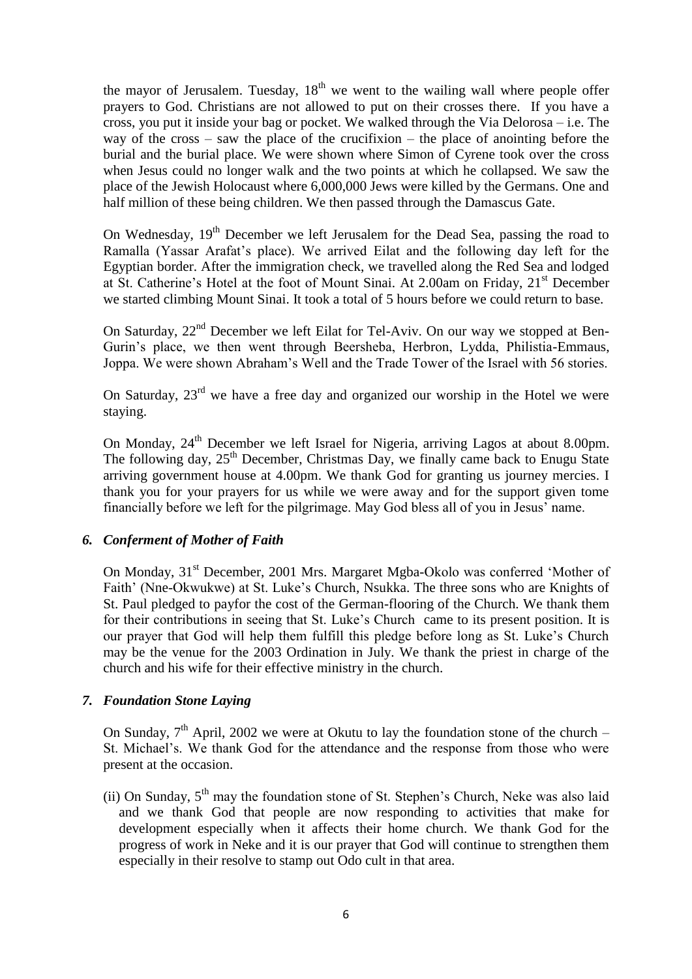the mayor of Jerusalem. Tuesday,  $18<sup>th</sup>$  we went to the wailing wall where people offer prayers to God. Christians are not allowed to put on their crosses there. If you have a cross, you put it inside your bag or pocket. We walked through the Via Delorosa – i.e. The way of the cross – saw the place of the crucifixion – the place of anointing before the burial and the burial place. We were shown where Simon of Cyrene took over the cross when Jesus could no longer walk and the two points at which he collapsed. We saw the place of the Jewish Holocaust where 6,000,000 Jews were killed by the Germans. One and half million of these being children. We then passed through the Damascus Gate.

On Wednesday, 19<sup>th</sup> December we left Jerusalem for the Dead Sea, passing the road to Ramalla (Yassar Arafat"s place). We arrived Eilat and the following day left for the Egyptian border. After the immigration check, we travelled along the Red Sea and lodged at St. Catherine's Hotel at the foot of Mount Sinai. At 2.00am on Friday, 21<sup>st</sup> December we started climbing Mount Sinai. It took a total of 5 hours before we could return to base.

On Saturday,  $22<sup>nd</sup>$  December we left Eilat for Tel-Aviv. On our way we stopped at Ben-Gurin"s place, we then went through Beersheba, Herbron, Lydda, Philistia-Emmaus, Joppa. We were shown Abraham"s Well and the Trade Tower of the Israel with 56 stories.

On Saturday,  $23<sup>rd</sup>$  we have a free day and organized our worship in the Hotel we were staying.

On Monday,  $24<sup>th</sup>$  December we left Israel for Nigeria, arriving Lagos at about 8.00pm. The following day, 25<sup>th</sup> December, Christmas Day, we finally came back to Enugu State arriving government house at 4.00pm. We thank God for granting us journey mercies. I thank you for your prayers for us while we were away and for the support given tome financially before we left for the pilgrimage. May God bless all of you in Jesus" name.

## *6. Conferment of Mother of Faith*

On Monday, 31<sup>st</sup> December, 2001 Mrs. Margaret Mgba-Okolo was conferred 'Mother of Faith' (Nne-Okwukwe) at St. Luke's Church, Nsukka. The three sons who are Knights of St. Paul pledged to payfor the cost of the German-flooring of the Church. We thank them for their contributions in seeing that St. Luke"s Church came to its present position. It is our prayer that God will help them fulfill this pledge before long as St. Luke"s Church may be the venue for the 2003 Ordination in July. We thank the priest in charge of the church and his wife for their effective ministry in the church.

## *7. Foundation Stone Laying*

On Sunday,  $7<sup>th</sup>$  April, 2002 we were at Okutu to lay the foundation stone of the church – St. Michael"s. We thank God for the attendance and the response from those who were present at the occasion.

(ii) On Sunday,  $5<sup>th</sup>$  may the foundation stone of St. Stephen's Church, Neke was also laid and we thank God that people are now responding to activities that make for development especially when it affects their home church. We thank God for the progress of work in Neke and it is our prayer that God will continue to strengthen them especially in their resolve to stamp out Odo cult in that area.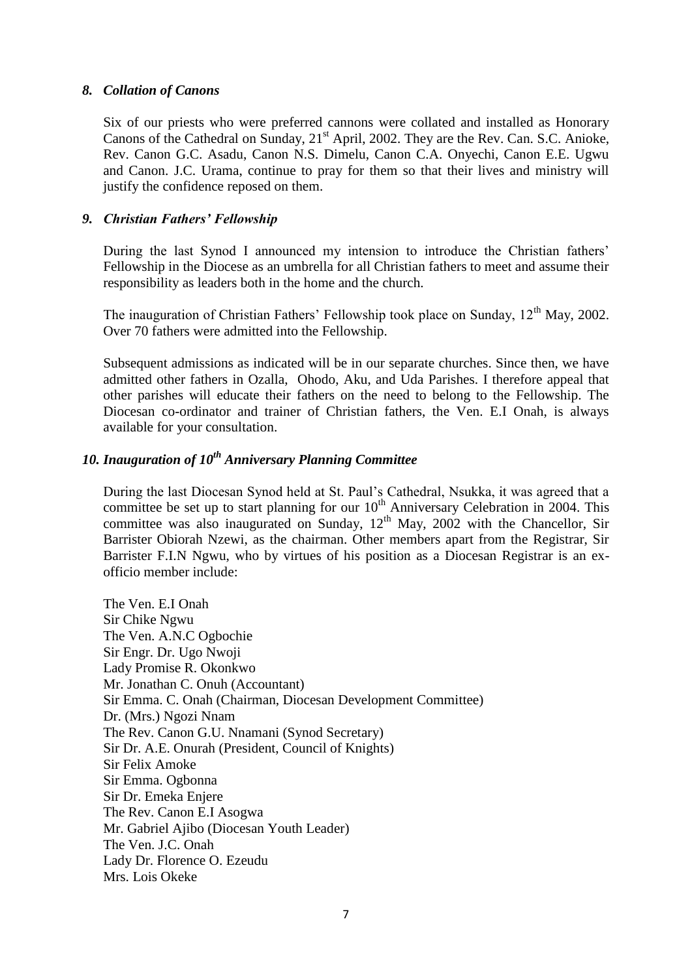## *8. Collation of Canons*

Six of our priests who were preferred cannons were collated and installed as Honorary Canons of the Cathedral on Sunday,  $21<sup>st</sup>$  April, 2002. They are the Rev. Can. S.C. Anioke, Rev. Canon G.C. Asadu, Canon N.S. Dimelu, Canon C.A. Onyechi, Canon E.E. Ugwu and Canon. J.C. Urama, continue to pray for them so that their lives and ministry will justify the confidence reposed on them.

## *9. Christian Fathers' Fellowship*

During the last Synod I announced my intension to introduce the Christian fathers' Fellowship in the Diocese as an umbrella for all Christian fathers to meet and assume their responsibility as leaders both in the home and the church.

The inauguration of Christian Fathers' Fellowship took place on Sunday, 12<sup>th</sup> May, 2002. Over 70 fathers were admitted into the Fellowship.

Subsequent admissions as indicated will be in our separate churches. Since then, we have admitted other fathers in Ozalla, Ohodo, Aku, and Uda Parishes. I therefore appeal that other parishes will educate their fathers on the need to belong to the Fellowship. The Diocesan co-ordinator and trainer of Christian fathers, the Ven. E.I Onah, is always available for your consultation.

# *10. Inauguration of 10th Anniversary Planning Committee*

During the last Diocesan Synod held at St. Paul"s Cathedral, Nsukka, it was agreed that a committee be set up to start planning for our 10<sup>th</sup> Anniversary Celebration in 2004. This committee was also inaugurated on Sunday,  $12<sup>th</sup>$  May, 2002 with the Chancellor, Sir Barrister Obiorah Nzewi, as the chairman. Other members apart from the Registrar, Sir Barrister F.I.N Ngwu, who by virtues of his position as a Diocesan Registrar is an exofficio member include:

The Ven. E.I Onah Sir Chike Ngwu The Ven. A.N.C Ogbochie Sir Engr. Dr. Ugo Nwoji Lady Promise R. Okonkwo Mr. Jonathan C. Onuh (Accountant) Sir Emma. C. Onah (Chairman, Diocesan Development Committee) Dr. (Mrs.) Ngozi Nnam The Rev. Canon G.U. Nnamani (Synod Secretary) Sir Dr. A.E. Onurah (President, Council of Knights) Sir Felix Amoke Sir Emma. Ogbonna Sir Dr. Emeka Enjere The Rev. Canon E.I Asogwa Mr. Gabriel Ajibo (Diocesan Youth Leader) The Ven. J.C. Onah Lady Dr. Florence O. Ezeudu Mrs. Lois Okeke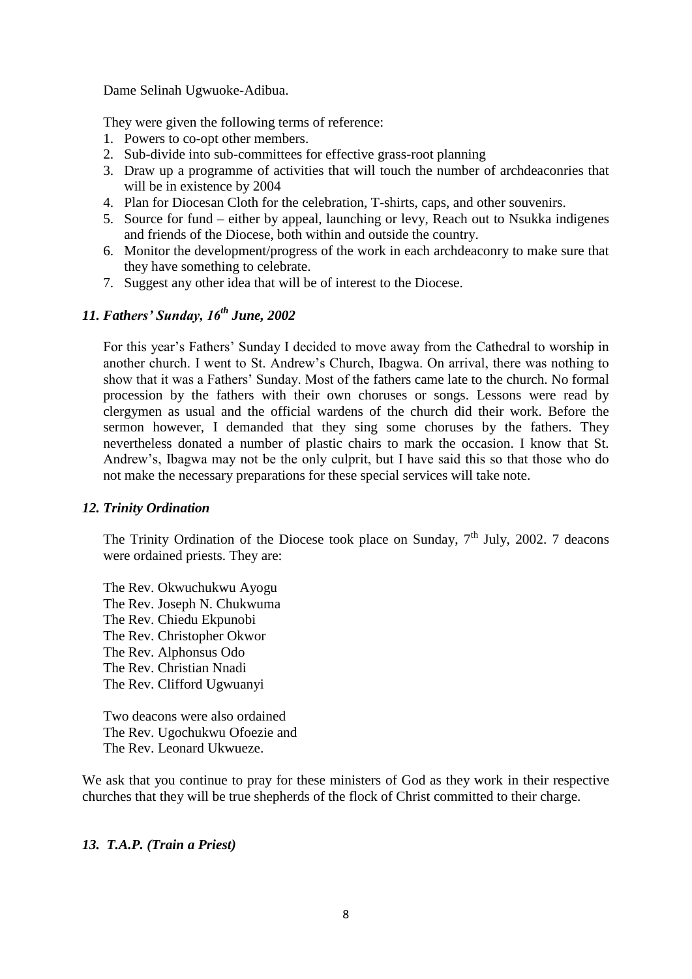Dame Selinah Ugwuoke-Adibua.

They were given the following terms of reference:

- 1. Powers to co-opt other members.
- 2. Sub-divide into sub-committees for effective grass-root planning
- 3. Draw up a programme of activities that will touch the number of archdeaconries that will be in existence by 2004
- 4. Plan for Diocesan Cloth for the celebration, T-shirts, caps, and other souvenirs.
- 5. Source for fund either by appeal, launching or levy, Reach out to Nsukka indigenes and friends of the Diocese, both within and outside the country.
- 6. Monitor the development/progress of the work in each archdeaconry to make sure that they have something to celebrate.
- 7. Suggest any other idea that will be of interest to the Diocese.

## *11. Fathers' Sunday, 16th June, 2002*

For this year"s Fathers" Sunday I decided to move away from the Cathedral to worship in another church. I went to St. Andrew"s Church, Ibagwa. On arrival, there was nothing to show that it was a Fathers" Sunday. Most of the fathers came late to the church. No formal procession by the fathers with their own choruses or songs. Lessons were read by clergymen as usual and the official wardens of the church did their work. Before the sermon however, I demanded that they sing some choruses by the fathers. They nevertheless donated a number of plastic chairs to mark the occasion. I know that St. Andrew"s, Ibagwa may not be the only culprit, but I have said this so that those who do not make the necessary preparations for these special services will take note.

## *12. Trinity Ordination*

The Trinity Ordination of the Diocese took place on Sunday,  $7<sup>th</sup>$  July, 2002. 7 deacons were ordained priests. They are:

The Rev. Okwuchukwu Ayogu The Rev. Joseph N. Chukwuma The Rev. Chiedu Ekpunobi The Rev. Christopher Okwor The Rev. Alphonsus Odo The Rev. Christian Nnadi The Rev. Clifford Ugwuanyi

Two deacons were also ordained The Rev. Ugochukwu Ofoezie and The Rev. Leonard Ukwueze.

We ask that you continue to pray for these ministers of God as they work in their respective churches that they will be true shepherds of the flock of Christ committed to their charge.

## *13. T.A.P. (Train a Priest)*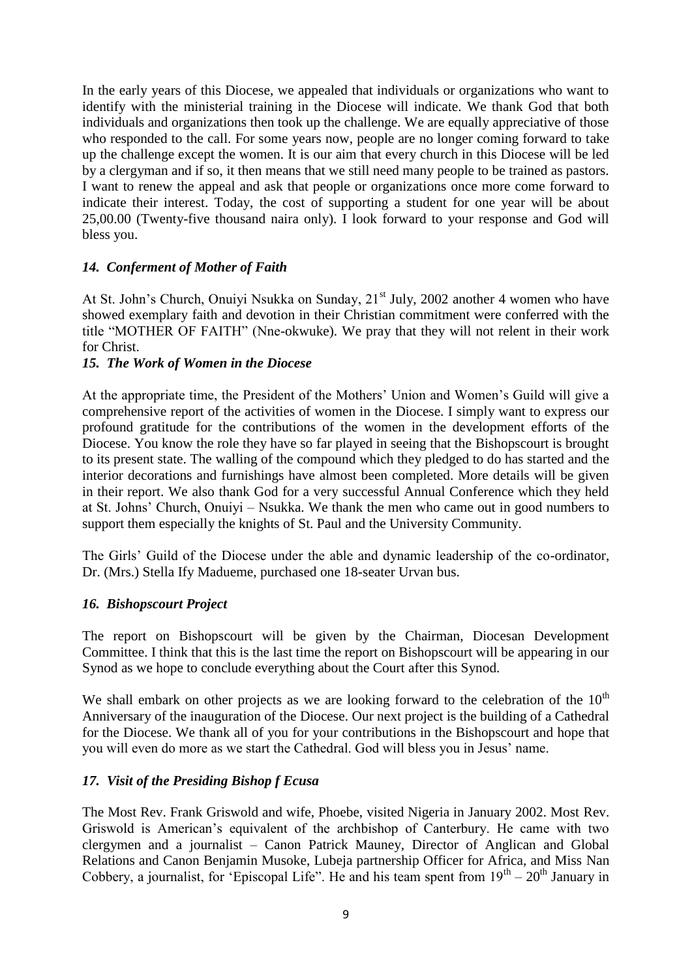In the early years of this Diocese, we appealed that individuals or organizations who want to identify with the ministerial training in the Diocese will indicate. We thank God that both individuals and organizations then took up the challenge. We are equally appreciative of those who responded to the call. For some years now, people are no longer coming forward to take up the challenge except the women. It is our aim that every church in this Diocese will be led by a clergyman and if so, it then means that we still need many people to be trained as pastors. I want to renew the appeal and ask that people or organizations once more come forward to indicate their interest. Today, the cost of supporting a student for one year will be about 25,00.00 (Twenty-five thousand naira only). I look forward to your response and God will bless you.

## *14. Conferment of Mother of Faith*

At St. John's Church, Onuiyi Nsukka on Sunday, 21<sup>st</sup> July, 2002 another 4 women who have showed exemplary faith and devotion in their Christian commitment were conferred with the title "MOTHER OF FAITH" (Nne-okwuke). We pray that they will not relent in their work for Christ.

## *15. The Work of Women in the Diocese*

At the appropriate time, the President of the Mothers" Union and Women"s Guild will give a comprehensive report of the activities of women in the Diocese. I simply want to express our profound gratitude for the contributions of the women in the development efforts of the Diocese. You know the role they have so far played in seeing that the Bishopscourt is brought to its present state. The walling of the compound which they pledged to do has started and the interior decorations and furnishings have almost been completed. More details will be given in their report. We also thank God for a very successful Annual Conference which they held at St. Johns" Church, Onuiyi – Nsukka. We thank the men who came out in good numbers to support them especially the knights of St. Paul and the University Community.

The Girls" Guild of the Diocese under the able and dynamic leadership of the co-ordinator, Dr. (Mrs.) Stella Ify Madueme, purchased one 18-seater Urvan bus.

## *16. Bishopscourt Project*

The report on Bishopscourt will be given by the Chairman, Diocesan Development Committee. I think that this is the last time the report on Bishopscourt will be appearing in our Synod as we hope to conclude everything about the Court after this Synod.

We shall embark on other projects as we are looking forward to the celebration of the  $10<sup>th</sup>$ Anniversary of the inauguration of the Diocese. Our next project is the building of a Cathedral for the Diocese. We thank all of you for your contributions in the Bishopscourt and hope that you will even do more as we start the Cathedral. God will bless you in Jesus" name.

## *17. Visit of the Presiding Bishop f Ecusa*

The Most Rev. Frank Griswold and wife, Phoebe, visited Nigeria in January 2002. Most Rev. Griswold is American"s equivalent of the archbishop of Canterbury. He came with two clergymen and a journalist – Canon Patrick Mauney, Director of Anglican and Global Relations and Canon Benjamin Musoke, Lubeja partnership Officer for Africa, and Miss Nan Cobbery, a journalist, for 'Episcopal Life''. He and his team spent from  $19<sup>th</sup> - 20<sup>th</sup>$  January in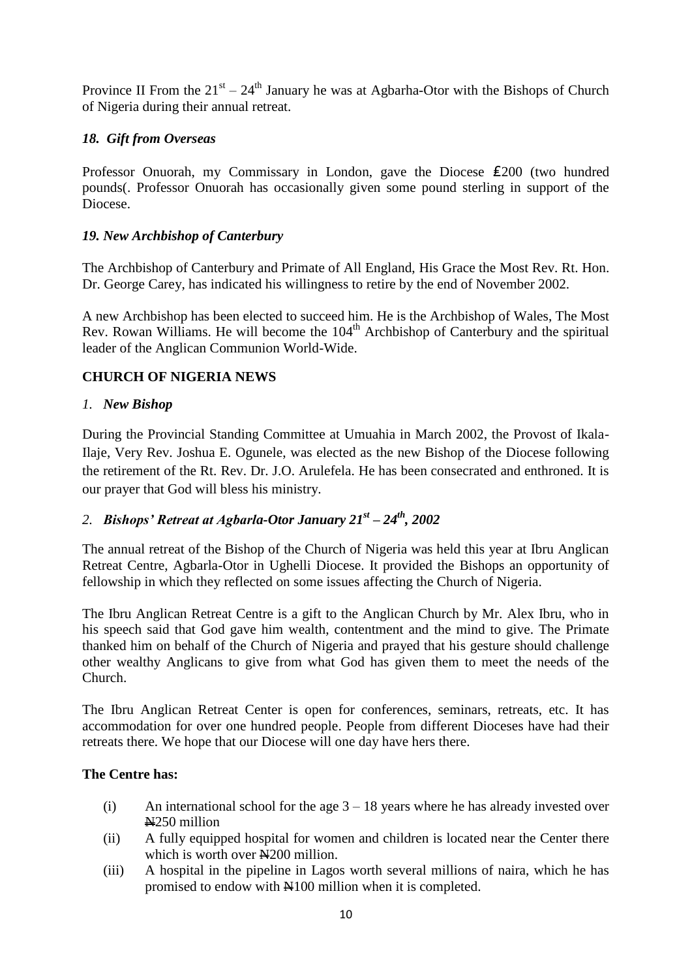Province II From the  $21^{st} - 24^{th}$  January he was at Agbarha-Otor with the Bishops of Church of Nigeria during their annual retreat.

## *18. Gift from Overseas*

Professor Onuorah, my Commissary in London, gave the Diocese ₤200 (two hundred pounds(. Professor Onuorah has occasionally given some pound sterling in support of the Diocese.

## *19. New Archbishop of Canterbury*

The Archbishop of Canterbury and Primate of All England, His Grace the Most Rev. Rt. Hon. Dr. George Carey, has indicated his willingness to retire by the end of November 2002.

A new Archbishop has been elected to succeed him. He is the Archbishop of Wales, The Most Rev. Rowan Williams. He will become the  $104<sup>th</sup>$  Archbishop of Canterbury and the spiritual leader of the Anglican Communion World-Wide.

## **CHURCH OF NIGERIA NEWS**

## *1. New Bishop*

During the Provincial Standing Committee at Umuahia in March 2002, the Provost of Ikala-Ilaje, Very Rev. Joshua E. Ogunele, was elected as the new Bishop of the Diocese following the retirement of the Rt. Rev. Dr. J.O. Arulefela. He has been consecrated and enthroned. It is our prayer that God will bless his ministry.

## *2. Bishops' Retreat at Agbarla-Otor January 21st – 24th, 2002*

The annual retreat of the Bishop of the Church of Nigeria was held this year at Ibru Anglican Retreat Centre, Agbarla-Otor in Ughelli Diocese. It provided the Bishops an opportunity of fellowship in which they reflected on some issues affecting the Church of Nigeria.

The Ibru Anglican Retreat Centre is a gift to the Anglican Church by Mr. Alex Ibru, who in his speech said that God gave him wealth, contentment and the mind to give. The Primate thanked him on behalf of the Church of Nigeria and prayed that his gesture should challenge other wealthy Anglicans to give from what God has given them to meet the needs of the Church.

The Ibru Anglican Retreat Center is open for conferences, seminars, retreats, etc. It has accommodation for over one hundred people. People from different Dioceses have had their retreats there. We hope that our Diocese will one day have hers there.

## **The Centre has:**

- (i) An international school for the age  $3 18$  years where he has already invested over N250 million
- (ii) A fully equipped hospital for women and children is located near the Center there which is worth over  $\angle 4200$  million.
- (iii) A hospital in the pipeline in Lagos worth several millions of naira, which he has promised to endow with N100 million when it is completed.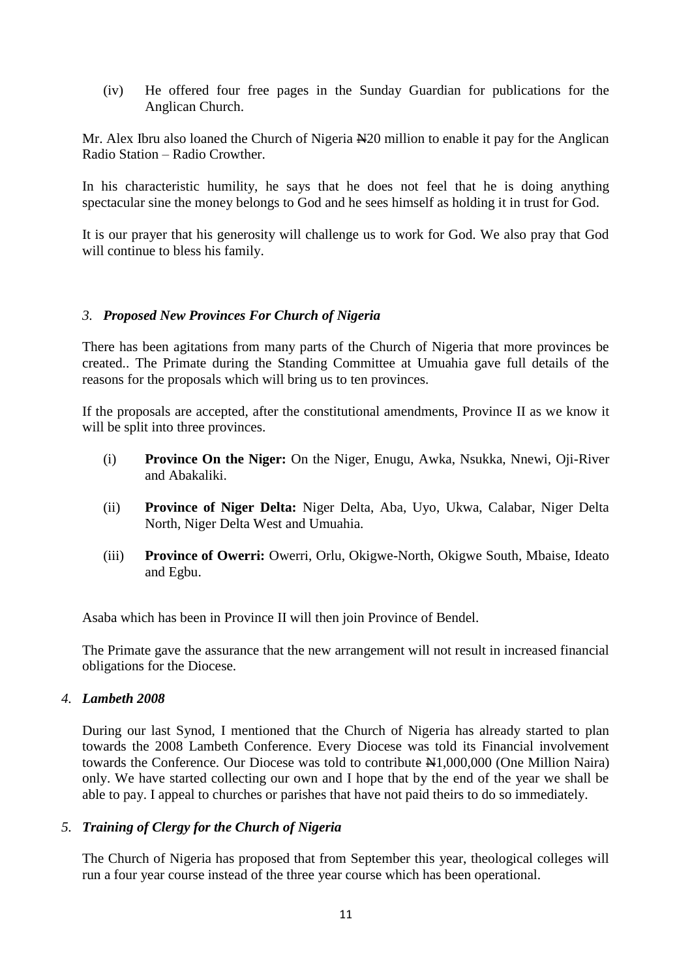(iv) He offered four free pages in the Sunday Guardian for publications for the Anglican Church.

Mr. Alex Ibru also loaned the Church of Nigeria New million to enable it pay for the Anglican Radio Station – Radio Crowther.

In his characteristic humility, he says that he does not feel that he is doing anything spectacular sine the money belongs to God and he sees himself as holding it in trust for God.

It is our prayer that his generosity will challenge us to work for God. We also pray that God will continue to bless his family.

## *3. Proposed New Provinces For Church of Nigeria*

There has been agitations from many parts of the Church of Nigeria that more provinces be created.. The Primate during the Standing Committee at Umuahia gave full details of the reasons for the proposals which will bring us to ten provinces.

If the proposals are accepted, after the constitutional amendments, Province II as we know it will be split into three provinces.

- (i) **Province On the Niger:** On the Niger, Enugu, Awka, Nsukka, Nnewi, Oji-River and Abakaliki.
- (ii) **Province of Niger Delta:** Niger Delta, Aba, Uyo, Ukwa, Calabar, Niger Delta North, Niger Delta West and Umuahia.
- (iii) **Province of Owerri:** Owerri, Orlu, Okigwe-North, Okigwe South, Mbaise, Ideato and Egbu.

Asaba which has been in Province II will then join Province of Bendel.

The Primate gave the assurance that the new arrangement will not result in increased financial obligations for the Diocese.

## *4. Lambeth 2008*

During our last Synod, I mentioned that the Church of Nigeria has already started to plan towards the 2008 Lambeth Conference. Every Diocese was told its Financial involvement towards the Conference. Our Diocese was told to contribute  $\mathbb{H}1,000,000$  (One Million Naira) only. We have started collecting our own and I hope that by the end of the year we shall be able to pay. I appeal to churches or parishes that have not paid theirs to do so immediately.

## *5. Training of Clergy for the Church of Nigeria*

The Church of Nigeria has proposed that from September this year, theological colleges will run a four year course instead of the three year course which has been operational.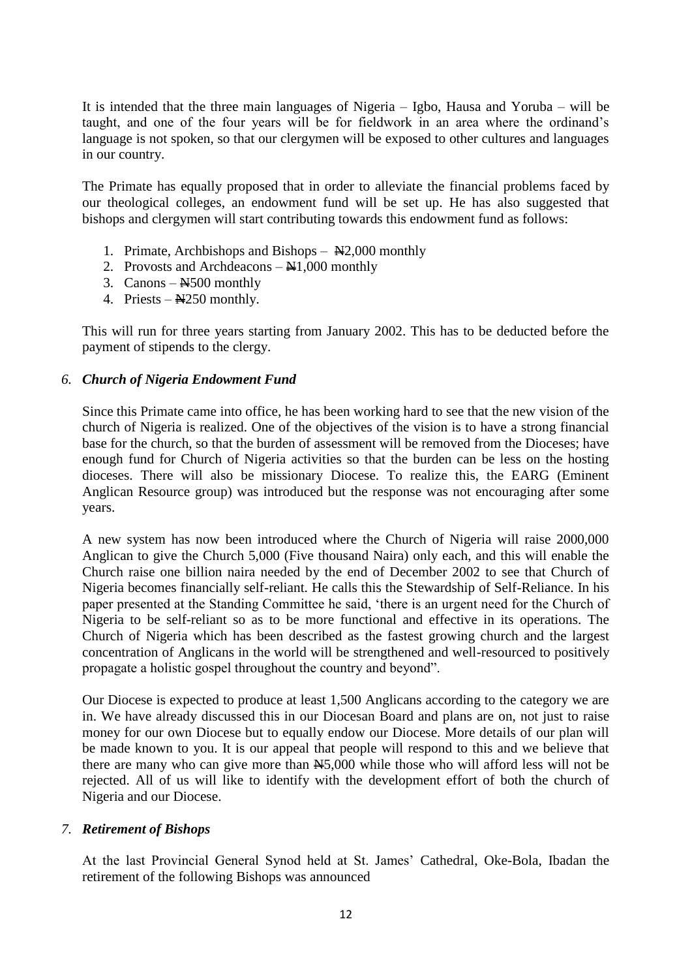It is intended that the three main languages of Nigeria – Igbo, Hausa and Yoruba – will be taught, and one of the four years will be for fieldwork in an area where the ordinand"s language is not spoken, so that our clergymen will be exposed to other cultures and languages in our country.

The Primate has equally proposed that in order to alleviate the financial problems faced by our theological colleges, an endowment fund will be set up. He has also suggested that bishops and clergymen will start contributing towards this endowment fund as follows:

- 1. Primate, Archbishops and Bishops  $\mathbb{H}2,000$  monthly
- 2. Provosts and Archdeacons  $-\frac{N1,000}{N}$  monthly
- 3. Canons  $-\frac{N500}{N}$  monthly
- 4. Priests  $-\frac{N250}{N}$  monthly.

This will run for three years starting from January 2002. This has to be deducted before the payment of stipends to the clergy.

## *6. Church of Nigeria Endowment Fund*

Since this Primate came into office, he has been working hard to see that the new vision of the church of Nigeria is realized. One of the objectives of the vision is to have a strong financial base for the church, so that the burden of assessment will be removed from the Dioceses; have enough fund for Church of Nigeria activities so that the burden can be less on the hosting dioceses. There will also be missionary Diocese. To realize this, the EARG (Eminent Anglican Resource group) was introduced but the response was not encouraging after some years.

A new system has now been introduced where the Church of Nigeria will raise 2000,000 Anglican to give the Church 5,000 (Five thousand Naira) only each, and this will enable the Church raise one billion naira needed by the end of December 2002 to see that Church of Nigeria becomes financially self-reliant. He calls this the Stewardship of Self-Reliance. In his paper presented at the Standing Committee he said, "there is an urgent need for the Church of Nigeria to be self-reliant so as to be more functional and effective in its operations. The Church of Nigeria which has been described as the fastest growing church and the largest concentration of Anglicans in the world will be strengthened and well-resourced to positively propagate a holistic gospel throughout the country and beyond".

Our Diocese is expected to produce at least 1,500 Anglicans according to the category we are in. We have already discussed this in our Diocesan Board and plans are on, not just to raise money for our own Diocese but to equally endow our Diocese. More details of our plan will be made known to you. It is our appeal that people will respond to this and we believe that there are many who can give more than N5,000 while those who will afford less will not be rejected. All of us will like to identify with the development effort of both the church of Nigeria and our Diocese.

## *7. Retirement of Bishops*

At the last Provincial General Synod held at St. James" Cathedral, Oke-Bola, Ibadan the retirement of the following Bishops was announced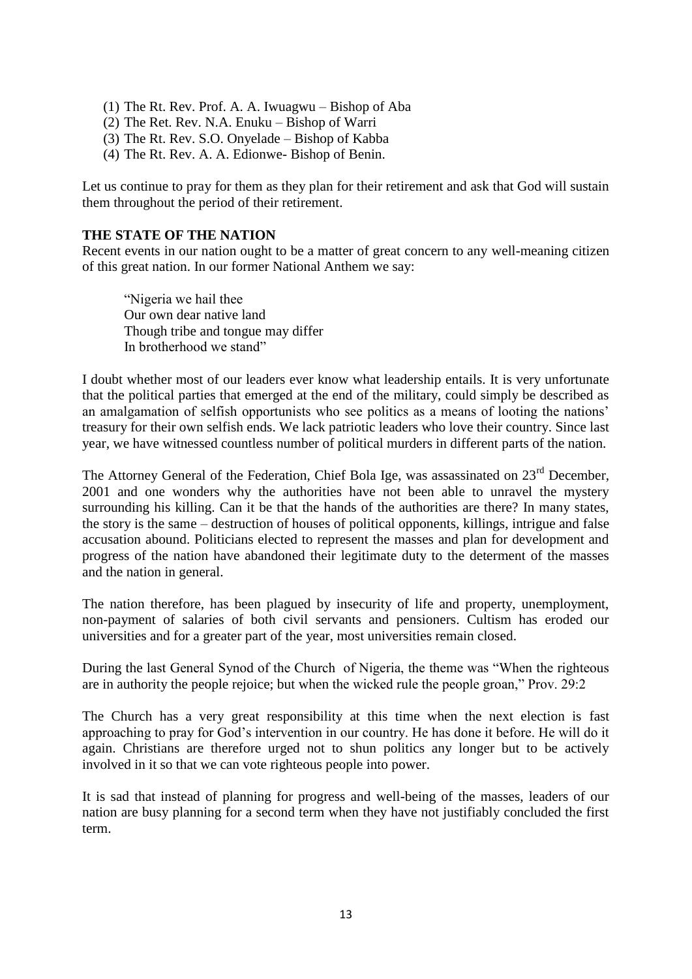- (1) The Rt. Rev. Prof. A. A. Iwuagwu Bishop of Aba
- (2) The Ret. Rev. N.A. Enuku Bishop of Warri
- (3) The Rt. Rev. S.O. Onyelade Bishop of Kabba
- (4) The Rt. Rev. A. A. Edionwe- Bishop of Benin.

Let us continue to pray for them as they plan for their retirement and ask that God will sustain them throughout the period of their retirement.

## **THE STATE OF THE NATION**

Recent events in our nation ought to be a matter of great concern to any well-meaning citizen of this great nation. In our former National Anthem we say:

"Nigeria we hail thee Our own dear native land Though tribe and tongue may differ In brotherhood we stand"

I doubt whether most of our leaders ever know what leadership entails. It is very unfortunate that the political parties that emerged at the end of the military, could simply be described as an amalgamation of selfish opportunists who see politics as a means of looting the nations" treasury for their own selfish ends. We lack patriotic leaders who love their country. Since last year, we have witnessed countless number of political murders in different parts of the nation.

The Attorney General of the Federation, Chief Bola Ige, was assassinated on 23<sup>rd</sup> December, 2001 and one wonders why the authorities have not been able to unravel the mystery surrounding his killing. Can it be that the hands of the authorities are there? In many states, the story is the same – destruction of houses of political opponents, killings, intrigue and false accusation abound. Politicians elected to represent the masses and plan for development and progress of the nation have abandoned their legitimate duty to the determent of the masses and the nation in general.

The nation therefore, has been plagued by insecurity of life and property, unemployment, non-payment of salaries of both civil servants and pensioners. Cultism has eroded our universities and for a greater part of the year, most universities remain closed.

During the last General Synod of the Church of Nigeria, the theme was "When the righteous are in authority the people rejoice; but when the wicked rule the people groan," Prov. 29:2

The Church has a very great responsibility at this time when the next election is fast approaching to pray for God"s intervention in our country. He has done it before. He will do it again. Christians are therefore urged not to shun politics any longer but to be actively involved in it so that we can vote righteous people into power.

It is sad that instead of planning for progress and well-being of the masses, leaders of our nation are busy planning for a second term when they have not justifiably concluded the first term.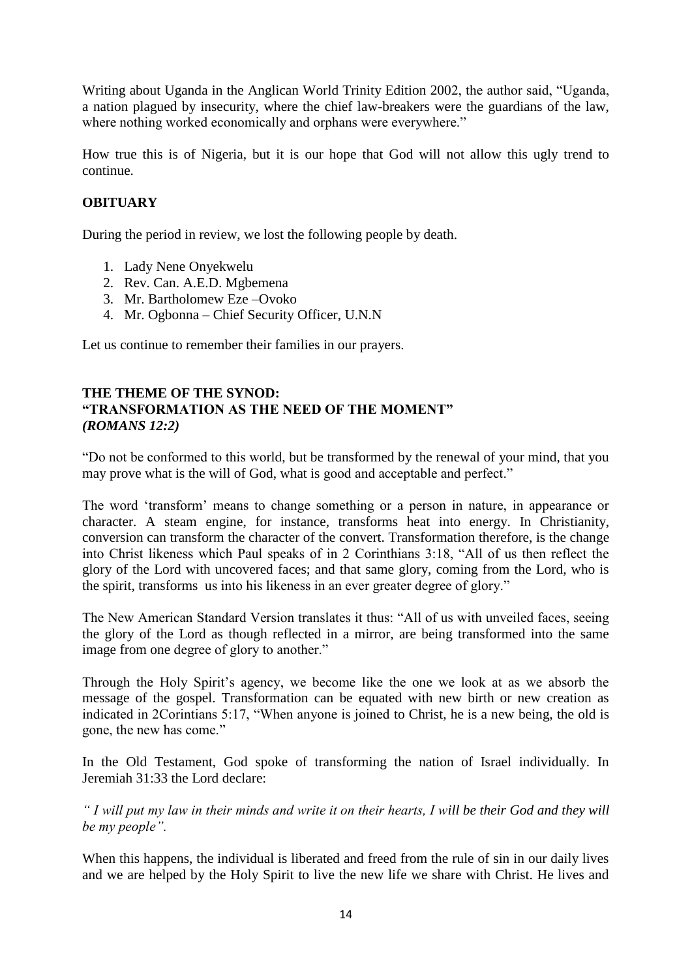Writing about Uganda in the Anglican World Trinity Edition 2002, the author said, "Uganda, a nation plagued by insecurity, where the chief law-breakers were the guardians of the law, where nothing worked economically and orphans were everywhere."

How true this is of Nigeria, but it is our hope that God will not allow this ugly trend to continue.

## **OBITUARY**

During the period in review, we lost the following people by death.

- 1. Lady Nene Onyekwelu
- 2. Rev. Can. A.E.D. Mgbemena
- 3. Mr. Bartholomew Eze –Ovoko
- 4. Mr. Ogbonna Chief Security Officer, U.N.N

Let us continue to remember their families in our prayers.

## **THE THEME OF THE SYNOD: "TRANSFORMATION AS THE NEED OF THE MOMENT"** *(ROMANS 12:2)*

"Do not be conformed to this world, but be transformed by the renewal of your mind, that you may prove what is the will of God, what is good and acceptable and perfect."

The word "transform" means to change something or a person in nature, in appearance or character. A steam engine, for instance, transforms heat into energy. In Christianity, conversion can transform the character of the convert. Transformation therefore, is the change into Christ likeness which Paul speaks of in 2 Corinthians 3:18, "All of us then reflect the glory of the Lord with uncovered faces; and that same glory, coming from the Lord, who is the spirit, transforms us into his likeness in an ever greater degree of glory."

The New American Standard Version translates it thus: "All of us with unveiled faces, seeing the glory of the Lord as though reflected in a mirror, are being transformed into the same image from one degree of glory to another."

Through the Holy Spirit"s agency, we become like the one we look at as we absorb the message of the gospel. Transformation can be equated with new birth or new creation as indicated in 2Corintians 5:17, "When anyone is joined to Christ, he is a new being, the old is gone, the new has come."

In the Old Testament, God spoke of transforming the nation of Israel individually. In Jeremiah 31:33 the Lord declare:

*" I will put my law in their minds and write it on their hearts, I will be their God and they will be my people".* 

When this happens, the individual is liberated and freed from the rule of sin in our daily lives and we are helped by the Holy Spirit to live the new life we share with Christ. He lives and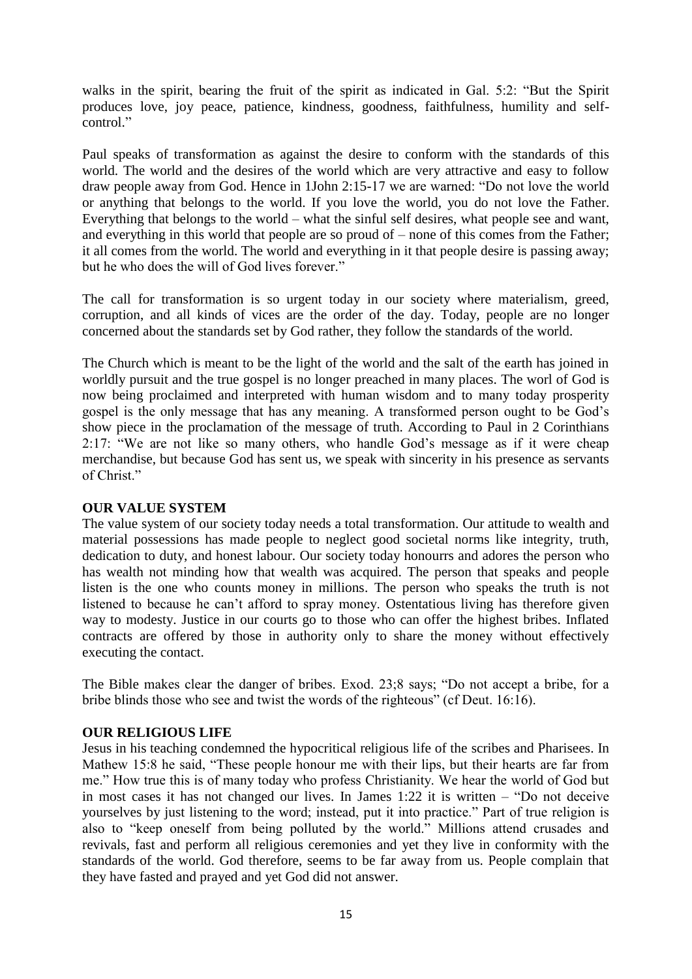walks in the spirit, bearing the fruit of the spirit as indicated in Gal. 5:2: "But the Spirit produces love, joy peace, patience, kindness, goodness, faithfulness, humility and selfcontrol."

Paul speaks of transformation as against the desire to conform with the standards of this world. The world and the desires of the world which are very attractive and easy to follow draw people away from God. Hence in 1John 2:15-17 we are warned: "Do not love the world or anything that belongs to the world. If you love the world, you do not love the Father. Everything that belongs to the world – what the sinful self desires, what people see and want, and everything in this world that people are so proud of – none of this comes from the Father; it all comes from the world. The world and everything in it that people desire is passing away; but he who does the will of God lives forever."

The call for transformation is so urgent today in our society where materialism, greed, corruption, and all kinds of vices are the order of the day. Today, people are no longer concerned about the standards set by God rather, they follow the standards of the world.

The Church which is meant to be the light of the world and the salt of the earth has joined in worldly pursuit and the true gospel is no longer preached in many places. The worl of God is now being proclaimed and interpreted with human wisdom and to many today prosperity gospel is the only message that has any meaning. A transformed person ought to be God"s show piece in the proclamation of the message of truth. According to Paul in 2 Corinthians 2:17: "We are not like so many others, who handle God"s message as if it were cheap merchandise, but because God has sent us, we speak with sincerity in his presence as servants of Christ."

## **OUR VALUE SYSTEM**

The value system of our society today needs a total transformation. Our attitude to wealth and material possessions has made people to neglect good societal norms like integrity, truth, dedication to duty, and honest labour. Our society today honourrs and adores the person who has wealth not minding how that wealth was acquired. The person that speaks and people listen is the one who counts money in millions. The person who speaks the truth is not listened to because he can"t afford to spray money. Ostentatious living has therefore given way to modesty. Justice in our courts go to those who can offer the highest bribes. Inflated contracts are offered by those in authority only to share the money without effectively executing the contact.

The Bible makes clear the danger of bribes. Exod. 23;8 says; "Do not accept a bribe, for a bribe blinds those who see and twist the words of the righteous" (cf Deut. 16:16).

## **OUR RELIGIOUS LIFE**

Jesus in his teaching condemned the hypocritical religious life of the scribes and Pharisees. In Mathew 15:8 he said, "These people honour me with their lips, but their hearts are far from me." How true this is of many today who profess Christianity. We hear the world of God but in most cases it has not changed our lives. In James 1:22 it is written – "Do not deceive yourselves by just listening to the word; instead, put it into practice." Part of true religion is also to "keep oneself from being polluted by the world." Millions attend crusades and revivals, fast and perform all religious ceremonies and yet they live in conformity with the standards of the world. God therefore, seems to be far away from us. People complain that they have fasted and prayed and yet God did not answer.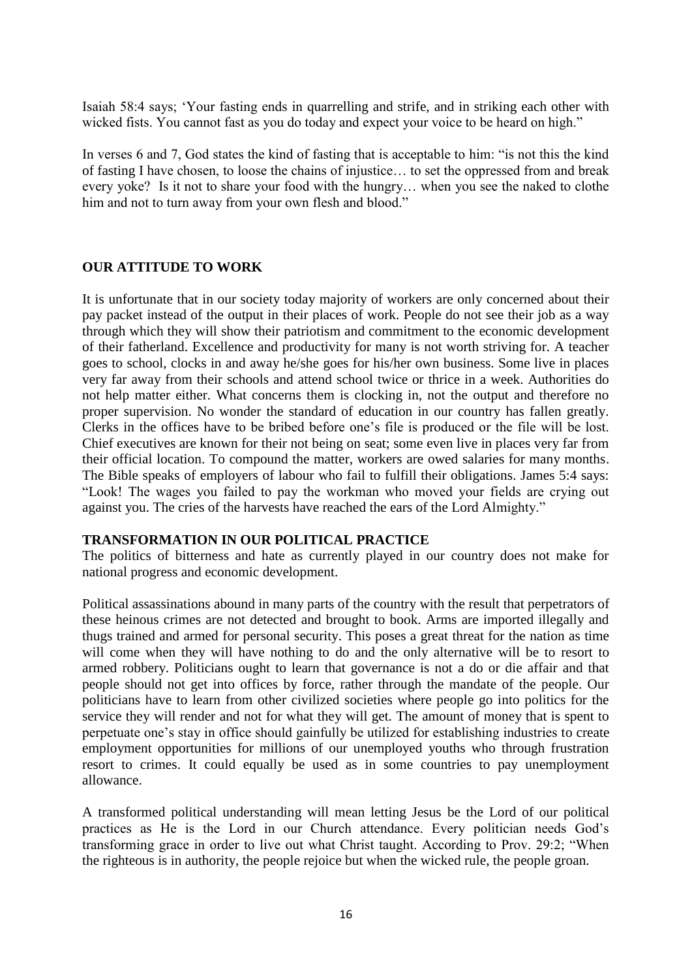Isaiah 58:4 says; "Your fasting ends in quarrelling and strife, and in striking each other with wicked fists. You cannot fast as you do today and expect your voice to be heard on high."

In verses 6 and 7, God states the kind of fasting that is acceptable to him: "is not this the kind of fasting I have chosen, to loose the chains of injustice… to set the oppressed from and break every yoke? Is it not to share your food with the hungry… when you see the naked to clothe him and not to turn away from your own flesh and blood."

## **OUR ATTITUDE TO WORK**

It is unfortunate that in our society today majority of workers are only concerned about their pay packet instead of the output in their places of work. People do not see their job as a way through which they will show their patriotism and commitment to the economic development of their fatherland. Excellence and productivity for many is not worth striving for. A teacher goes to school, clocks in and away he/she goes for his/her own business. Some live in places very far away from their schools and attend school twice or thrice in a week. Authorities do not help matter either. What concerns them is clocking in, not the output and therefore no proper supervision. No wonder the standard of education in our country has fallen greatly. Clerks in the offices have to be bribed before one"s file is produced or the file will be lost. Chief executives are known for their not being on seat; some even live in places very far from their official location. To compound the matter, workers are owed salaries for many months. The Bible speaks of employers of labour who fail to fulfill their obligations. James 5:4 says: "Look! The wages you failed to pay the workman who moved your fields are crying out against you. The cries of the harvests have reached the ears of the Lord Almighty."

## **TRANSFORMATION IN OUR POLITICAL PRACTICE**

The politics of bitterness and hate as currently played in our country does not make for national progress and economic development.

Political assassinations abound in many parts of the country with the result that perpetrators of these heinous crimes are not detected and brought to book. Arms are imported illegally and thugs trained and armed for personal security. This poses a great threat for the nation as time will come when they will have nothing to do and the only alternative will be to resort to armed robbery. Politicians ought to learn that governance is not a do or die affair and that people should not get into offices by force, rather through the mandate of the people. Our politicians have to learn from other civilized societies where people go into politics for the service they will render and not for what they will get. The amount of money that is spent to perpetuate one"s stay in office should gainfully be utilized for establishing industries to create employment opportunities for millions of our unemployed youths who through frustration resort to crimes. It could equally be used as in some countries to pay unemployment allowance.

A transformed political understanding will mean letting Jesus be the Lord of our political practices as He is the Lord in our Church attendance. Every politician needs God"s transforming grace in order to live out what Christ taught. According to Prov. 29:2; "When the righteous is in authority, the people rejoice but when the wicked rule, the people groan.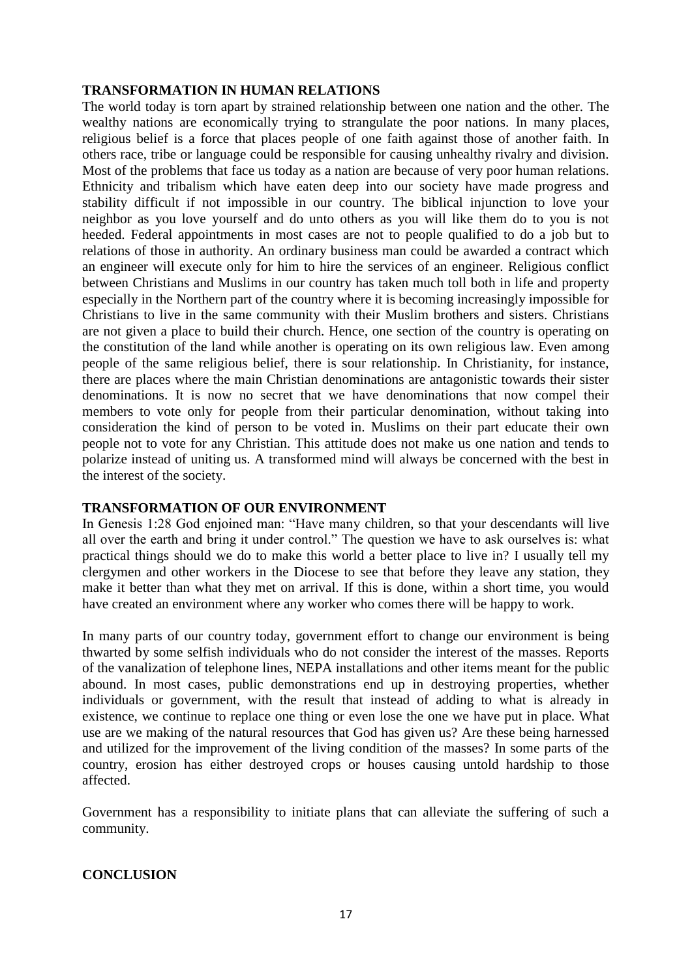## **TRANSFORMATION IN HUMAN RELATIONS**

The world today is torn apart by strained relationship between one nation and the other. The wealthy nations are economically trying to strangulate the poor nations. In many places, religious belief is a force that places people of one faith against those of another faith. In others race, tribe or language could be responsible for causing unhealthy rivalry and division. Most of the problems that face us today as a nation are because of very poor human relations. Ethnicity and tribalism which have eaten deep into our society have made progress and stability difficult if not impossible in our country. The biblical injunction to love your neighbor as you love yourself and do unto others as you will like them do to you is not heeded. Federal appointments in most cases are not to people qualified to do a job but to relations of those in authority. An ordinary business man could be awarded a contract which an engineer will execute only for him to hire the services of an engineer. Religious conflict between Christians and Muslims in our country has taken much toll both in life and property especially in the Northern part of the country where it is becoming increasingly impossible for Christians to live in the same community with their Muslim brothers and sisters. Christians are not given a place to build their church. Hence, one section of the country is operating on the constitution of the land while another is operating on its own religious law. Even among people of the same religious belief, there is sour relationship. In Christianity, for instance, there are places where the main Christian denominations are antagonistic towards their sister denominations. It is now no secret that we have denominations that now compel their members to vote only for people from their particular denomination, without taking into consideration the kind of person to be voted in. Muslims on their part educate their own people not to vote for any Christian. This attitude does not make us one nation and tends to polarize instead of uniting us. A transformed mind will always be concerned with the best in the interest of the society.

## **TRANSFORMATION OF OUR ENVIRONMENT**

In Genesis 1:28 God enjoined man: "Have many children, so that your descendants will live all over the earth and bring it under control." The question we have to ask ourselves is: what practical things should we do to make this world a better place to live in? I usually tell my clergymen and other workers in the Diocese to see that before they leave any station, they make it better than what they met on arrival. If this is done, within a short time, you would have created an environment where any worker who comes there will be happy to work.

In many parts of our country today, government effort to change our environment is being thwarted by some selfish individuals who do not consider the interest of the masses. Reports of the vanalization of telephone lines, NEPA installations and other items meant for the public abound. In most cases, public demonstrations end up in destroying properties, whether individuals or government, with the result that instead of adding to what is already in existence, we continue to replace one thing or even lose the one we have put in place. What use are we making of the natural resources that God has given us? Are these being harnessed and utilized for the improvement of the living condition of the masses? In some parts of the country, erosion has either destroyed crops or houses causing untold hardship to those affected.

Government has a responsibility to initiate plans that can alleviate the suffering of such a community.

## **CONCLUSION**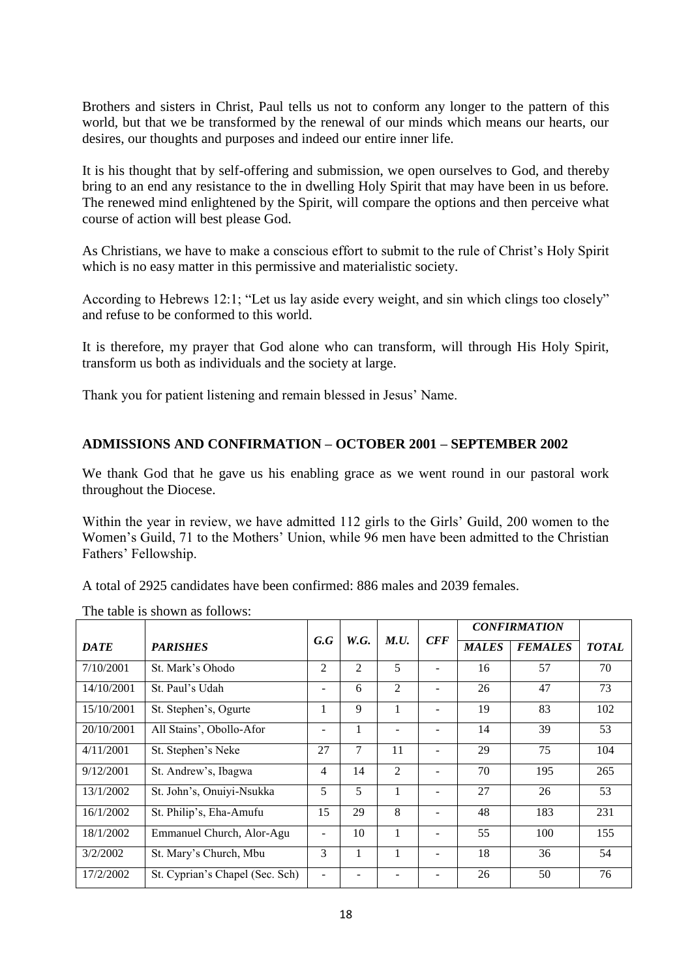Brothers and sisters in Christ, Paul tells us not to conform any longer to the pattern of this world, but that we be transformed by the renewal of our minds which means our hearts, our desires, our thoughts and purposes and indeed our entire inner life.

It is his thought that by self-offering and submission, we open ourselves to God, and thereby bring to an end any resistance to the in dwelling Holy Spirit that may have been in us before. The renewed mind enlightened by the Spirit, will compare the options and then perceive what course of action will best please God.

As Christians, we have to make a conscious effort to submit to the rule of Christ"s Holy Spirit which is no easy matter in this permissive and materialistic society.

According to Hebrews 12:1; "Let us lay aside every weight, and sin which clings too closely" and refuse to be conformed to this world.

It is therefore, my prayer that God alone who can transform, will through His Holy Spirit, transform us both as individuals and the society at large.

Thank you for patient listening and remain blessed in Jesus" Name.

## **ADMISSIONS AND CONFIRMATION – OCTOBER 2001 – SEPTEMBER 2002**

We thank God that he gave us his enabling grace as we went round in our pastoral work throughout the Diocese.

Within the year in review, we have admitted 112 girls to the Girls' Guild, 200 women to the Women"s Guild, 71 to the Mothers" Union, while 96 men have been admitted to the Christian Fathers" Fellowship.

A total of 2925 candidates have been confirmed: 886 males and 2039 females.

|                                |                                 |     |      |                   |     | <b>CONFIRMATION</b> |                |              |
|--------------------------------|---------------------------------|-----|------|-------------------|-----|---------------------|----------------|--------------|
| <b>PARISHES</b><br><b>DATE</b> |                                 | G.G | W.G. | M.U.              | CFF | <b>MALES</b>        | <b>FEMALES</b> | <b>TOTAL</b> |
| 7/10/2001                      | St. Mark's Ohodo                | 2   | 2    | 5                 |     | 16                  | 57             | 70           |
| 14/10/2001                     | St. Paul's Udah                 | -   | 6    | $\overline{c}$    | ٠   | 26                  | 47             | 73           |
| 15/10/2001                     | St. Stephen's, Ogurte           |     | 9    |                   | -   | 19                  | 83             | 102          |
| 20/10/2001                     | All Stains', Obollo-Afor        | -   | 1    | $\qquad \qquad -$ | ٠   | 14                  | 39             | 53           |
| 4/11/2001                      | St. Stephen's Neke              | 27  | 7    | 11                | ٠   | 29                  | 75             | 104          |
| 9/12/2001                      | St. Andrew's, Ibagwa            | 4   | 14   | $\overline{c}$    |     | 70                  | 195            | 265          |
| 13/1/2002                      | St. John's, Onuiyi-Nsukka       | 5   | 5    |                   |     | 27                  | 26             | 53           |
| 16/1/2002                      | St. Philip's, Eha-Amufu         | 15  | 29   | 8                 |     | 48                  | 183            | 231          |
| 18/1/2002                      | Emmanuel Church, Alor-Agu       |     | 10   |                   |     | 55                  | 100            | 155          |
| 3/2/2002                       | St. Mary's Church, Mbu          | 3   |      |                   |     | 18                  | 36             | 54           |
| 17/2/2002                      | St. Cyprian's Chapel (Sec. Sch) |     |      |                   |     | 26                  | 50             | 76           |

The table is shown as follows: